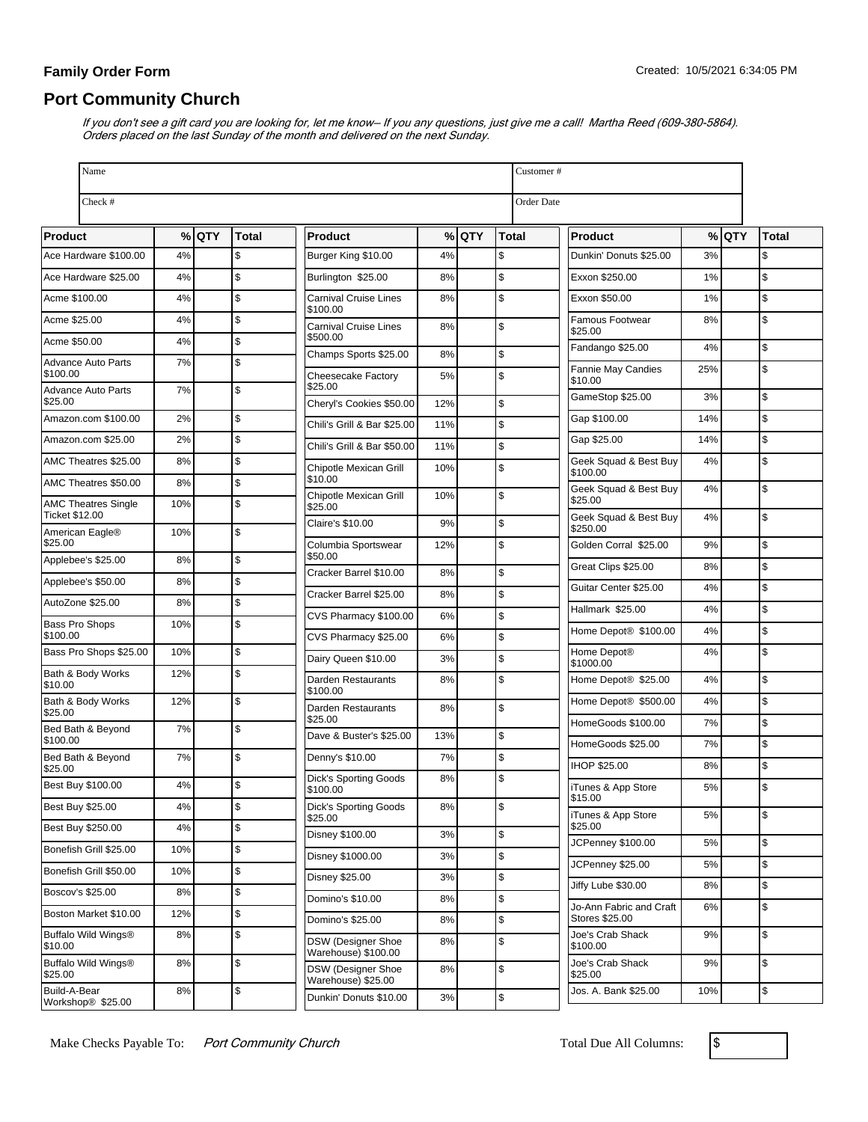### **Family Order Form**

# **Port Community Church**

If you don't see a gift card you are looking for, let me know– If you any questions, just give me a call! Martha Reed (609-380-5864). Orders placed on the last Sunday of the month and delivered on the next Sunday.

| Name                                               |           |         |          |                                                  |          |         |              |                   | Customer#                                 |     |         |               |  |  |
|----------------------------------------------------|-----------|---------|----------|--------------------------------------------------|----------|---------|--------------|-------------------|-------------------------------------------|-----|---------|---------------|--|--|
| Check #                                            |           |         |          |                                                  |          |         |              | <b>Order Date</b> |                                           |     |         |               |  |  |
| <b>Product</b>                                     |           | $%$ QTY | Total    | <b>Product</b>                                   |          | $%$ QTY | <b>Total</b> |                   | <b>Product</b>                            |     | $%$ QTY | Total         |  |  |
| Ace Hardware \$100.00                              | 4%        |         | \$       | Burger King \$10.00                              | 4%       |         | \$           |                   | Dunkin' Donuts \$25.00                    | 3%  |         | \$            |  |  |
| Ace Hardware \$25.00                               | 4%        |         | \$       | Burlington \$25.00                               | 8%       |         | \$           |                   | Exxon \$250.00                            | 1%  |         | \$            |  |  |
| Acme \$100.00                                      | 4%        |         | \$       | Carnival Cruise Lines                            | 8%       |         | \$           |                   | Exxon \$50.00                             | 1%  |         | $\mathsf{\$}$ |  |  |
| Acme \$25.00                                       | 4%        |         | \$       | \$100.00<br><b>Carnival Cruise Lines</b>         | 8%       |         | \$           |                   | Famous Footwear<br>\$25.00                | 8%  |         | \$            |  |  |
| Acme \$50.00                                       | 4%        |         | \$       | \$500.00                                         |          |         |              |                   | Fandango \$25.00                          | 4%  |         | Ŝ.            |  |  |
| <b>Advance Auto Parts</b><br>\$100.00              | 7%        |         | \$       | Champs Sports \$25.00                            | 8%       |         | \$           |                   | Fannie May Candies                        | 25% |         | \$            |  |  |
| <b>Advance Auto Parts</b>                          | 7%        |         | \$       | Cheesecake Factory<br>\$25.00                    | 5%       |         | \$           |                   | \$10.00<br>GameStop \$25.00               | 3%  |         | \$            |  |  |
| \$25.00                                            |           |         |          | Cheryl's Cookies \$50.00                         | 12%      |         | \$           |                   |                                           |     |         |               |  |  |
| Amazon.com \$100.00                                | 2%        |         | \$       | Chili's Grill & Bar \$25.00                      | 11%      |         | \$           |                   | Gap \$100.00                              | 14% |         | \$            |  |  |
| Amazon.com \$25.00                                 | 2%        |         | \$       | Chili's Grill & Bar \$50.00                      | 11%      |         | \$           |                   | Gap \$25.00                               | 14% |         | \$            |  |  |
| AMC Theatres \$25.00                               | 8%        |         | \$       | Chipotle Mexican Grill<br>\$10.00                | 10%      |         | \$           |                   | Geek Squad & Best Buy<br>\$100.00         | 4%  |         | \$            |  |  |
| AMC Theatres \$50.00<br><b>AMC Theatres Single</b> | 8%<br>10% |         | \$<br>\$ | Chipotle Mexican Grill                           | 10%      |         | \$           |                   | Geek Squad & Best Buy<br>\$25.00          | 4%  |         | \$            |  |  |
| <b>Ticket \$12.00</b>                              |           |         |          | \$25.00<br>Claire's \$10.00                      | 9%       |         | \$           |                   | Geek Squad & Best Buy<br>\$250.00         | 4%  |         | \$            |  |  |
| American Eagle®<br>\$25.00                         | 10%       |         | \$       | Columbia Sportswear                              | 12%      |         | \$           |                   | Golden Corral \$25.00                     | 9%  |         | \$            |  |  |
| Applebee's \$25.00                                 | 8%        |         | \$       | \$50.00<br>Cracker Barrel \$10.00                | 8%       |         | \$           |                   | Great Clips \$25.00                       | 8%  |         | \$            |  |  |
| Applebee's \$50.00                                 | 8%        |         | \$       | Cracker Barrel \$25.00                           | 8%       |         | \$           |                   | Guitar Center \$25.00                     | 4%  |         | \$            |  |  |
| AutoZone \$25.00                                   | 8%        |         | \$       |                                                  |          |         |              |                   | Hallmark \$25.00                          | 4%  |         | \$            |  |  |
| Bass Pro Shops<br>\$100.00                         | 10%       |         | \$       | CVS Pharmacy \$100.00<br>CVS Pharmacy \$25.00    | 6%<br>6% |         | \$<br>\$     |                   | Home Depot® \$100.00                      | 4%  |         | \$            |  |  |
| Bass Pro Shops \$25.00                             | 10%       |         | \$       | Dairy Queen \$10.00                              | 3%       |         | \$           |                   | Home Depot®                               | 4%  |         | \$            |  |  |
| Bath & Body Works                                  | 12%       |         | \$       | Darden Restaurants                               | 8%       |         | \$           |                   | \$1000.00<br>Home Depot® \$25.00          | 4%  |         | $\mathsf{\$}$ |  |  |
| \$10.00<br>Bath & Body Works                       | 12%       |         | \$       | \$100.00<br>Darden Restaurants                   | 8%       |         | \$           |                   | Home Depot® \$500.00                      | 4%  |         | \$            |  |  |
| \$25.00                                            |           |         |          | \$25.00                                          |          |         |              |                   | HomeGoods \$100.00                        | 7%  |         | $\mathsf{\$}$ |  |  |
| Bed Bath & Beyond<br>\$100.00                      | 7%        |         | \$       | Dave & Buster's \$25.00                          | 13%      |         | \$           |                   | HomeGoods \$25.00                         | 7%  |         | \$            |  |  |
| Bed Bath & Beyond<br>\$25.00                       | 7%        |         | \$       | Denny's \$10.00                                  | 7%       |         | \$           |                   | <b>IHOP \$25.00</b>                       | 8%  |         | $\sqrt{2}$    |  |  |
| Best Buy \$100.00                                  | 4%        |         | \$       | <b>Dick's Sporting Goods</b><br>\$100.00         | 8%       |         | \$           |                   | iTunes & App Store                        | 5%  |         | \$            |  |  |
| Best Buy \$25.00                                   | 4%        |         | \$       | <b>Dick's Sporting Goods</b><br>\$25.00          | 8%       |         | \$           |                   | \$15.00<br>iTunes & App Store             | 5%  |         | $\mathsf{\$}$ |  |  |
| Best Buy \$250.00                                  | 4%        |         | \$       | Disney \$100.00                                  | 3%       |         | \$           |                   | \$25.00                                   |     |         |               |  |  |
| Bonefish Grill \$25.00                             | 10%       |         | \$       | Disney \$1000.00                                 | 3%       |         | \$           |                   | JCPenney \$100.00                         | 5%  |         | \$            |  |  |
| Bonefish Grill \$50.00                             | 10%       |         | \$       | Disney \$25.00                                   | 3%       |         | \$           |                   | JCPenney \$25.00                          | 5%  |         | $\sqrt{2}$    |  |  |
| Boscov's \$25.00                                   | 8%        |         | \$       | Domino's \$10.00                                 | 8%       |         | \$           |                   | Jiffy Lube \$30.00                        | 8%  |         | \$            |  |  |
| Boston Market \$10.00                              | 12%       |         | \$       | Domino's \$25.00                                 | 8%       |         | \$           |                   | Jo-Ann Fabric and Craft<br>Stores \$25.00 | 6%  |         | \$            |  |  |
| Buffalo Wild Wings®<br>\$10.00                     | 8%        |         | \$       | <b>DSW (Designer Shoe</b>                        | 8%       |         | \$           |                   | Joe's Crab Shack<br>\$100.00              | 9%  |         | \$            |  |  |
| Buffalo Wild Wings®<br>\$25.00                     | $8\%$     |         | \$       | Warehouse) \$100.00<br><b>DSW</b> (Designer Shoe | 8%       |         | \$           |                   | Joe's Crab Shack<br>\$25.00               | 9%  |         | \$            |  |  |
| Build-A-Bear<br>Workshop® \$25.00                  | 8%        |         | \$       | Warehouse) \$25.00<br>Dunkin' Donuts \$10.00     | 3%       |         | \$           |                   | Jos. A. Bank \$25.00                      | 10% |         | \$            |  |  |

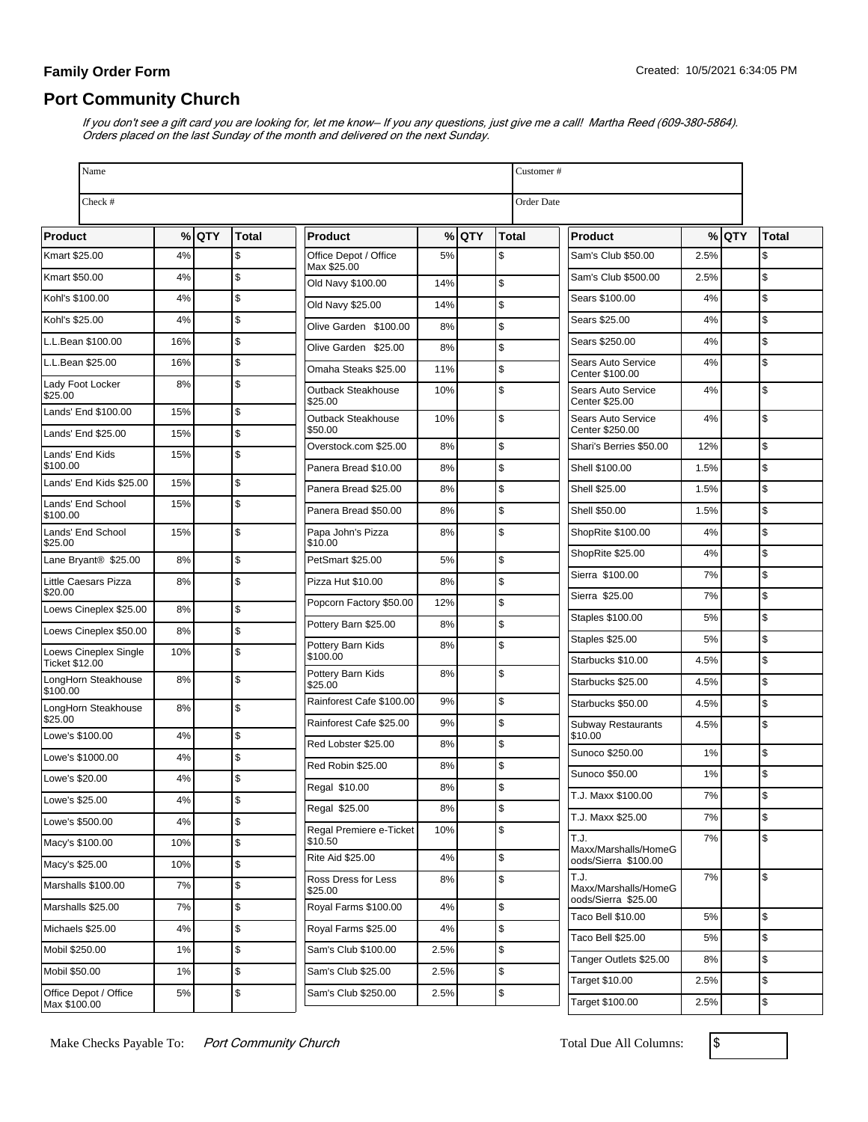### **Family Order Form**

# **Port Community Church**

If you don't see a gift card you are looking for, let me know– If you any questions, just give me a call! Martha Reed (609-380-5864). Orders placed on the last Sunday of the month and delivered on the next Sunday.

| Name                                    |       |         |               |                                      |      |         |              | Customer#  |                                              |       |         |               |
|-----------------------------------------|-------|---------|---------------|--------------------------------------|------|---------|--------------|------------|----------------------------------------------|-------|---------|---------------|
| Check #                                 |       |         |               |                                      |      |         |              | Order Date |                                              |       |         |               |
| <b>Product</b>                          |       | $%$ QTY | <b>Total</b>  | Product                              |      | $%$ QTY | <b>Total</b> |            | <b>Product</b>                               |       | $%$ QTY | <b>Total</b>  |
| Kmart \$25.00                           | 4%    |         | \$            | Office Depot / Office<br>Max \$25.00 | 5%   |         | \$           |            | Sam's Club \$50.00                           | 2.5%  |         | \$            |
| Kmart \$50.00                           | 4%    |         | \$            | Old Navy \$100.00                    | 14%  |         | \$           |            | Sam's Club \$500.00                          | 2.5%  |         | <b>S</b>      |
| Kohl's \$100.00                         | 4%    |         | \$            | Old Navy \$25.00                     | 14%  |         | \$           |            | Sears \$100.00                               | 4%    |         | $\mathsf{\$}$ |
| Kohl's \$25.00                          | 4%    |         | $\mathsf{\$}$ | Olive Garden \$100.00                | 8%   |         | \$           |            | Sears \$25.00                                | 4%    |         | $\mathsf{\$}$ |
| L.L.Bean \$100.00                       | 16%   |         | $\sqrt{2}$    | Olive Garden \$25.00                 | 8%   |         | \$           |            | Sears \$250.00                               | 4%    |         | $\mathfrak s$ |
| L.L.Bean \$25.00                        | 16%   |         | $\sqrt{2}$    | Omaha Steaks \$25.00                 | 11%  |         | \$           |            | Sears Auto Service<br>Center \$100.00        | 4%    |         | \$            |
| Lady Foot Locker<br>\$25.00             | 8%    |         | \$            | Outback Steakhouse<br>\$25.00        | 10%  |         | \$           |            | Sears Auto Service<br>Center \$25.00         | 4%    |         | $\mathsf{\$}$ |
| Lands' End \$100.00                     | 15%   |         | \$            | Outback Steakhouse                   | 10%  |         | \$           |            | Sears Auto Service                           | 4%    |         | \$            |
| Lands' End \$25.00                      | 15%   |         | \$            | \$50.00<br>Overstock.com \$25.00     | 8%   |         | \$           |            | Center \$250.00<br>Shari's Berries \$50.00   | 12%   |         | $\mathsf{\$}$ |
| Lands' End Kids<br>\$100.00             | 15%   |         | \$            | Panera Bread \$10.00                 | 8%   |         | \$           |            | Shell \$100.00                               | 1.5%  |         | $\mathsf{\$}$ |
| Lands' End Kids \$25.00                 | 15%   |         | \$            | Panera Bread \$25.00                 | 8%   |         | \$           |            | Shell \$25.00                                | 1.5%  |         | $\mathsf{\$}$ |
| Lands' End School                       | 15%   |         | \$            | Panera Bread \$50.00                 | 8%   |         | \$           |            | Shell \$50.00                                | 1.5%  |         | $\mathsf{\$}$ |
| \$100.00<br>Lands' End School           | 15%   |         | \$            | Papa John's Pizza                    | 8%   |         | \$           |            | ShopRite \$100.00                            | 4%    |         | $\mathsf{\$}$ |
| \$25.00                                 |       |         |               | \$10.00                              |      |         |              |            | ShopRite \$25.00                             | 4%    |         | $\mathsf{\$}$ |
| Lane Bryant <sup>®</sup> \$25.00        | 8%    |         | \$            | PetSmart \$25.00                     | 5%   |         | \$           |            | Sierra \$100.00                              | 7%    |         | $\mathsf{\$}$ |
| Little Caesars Pizza<br>\$20.00         | 8%    |         | \$            | Pizza Hut \$10.00                    | 8%   |         | \$           |            | Sierra \$25.00                               | 7%    |         | $\mathfrak s$ |
| Loews Cineplex \$25.00                  | 8%    |         | \$            | Popcorn Factory \$50.00              | 12%  |         | \$           |            | Staples \$100.00                             | 5%    |         | $\mathsf{\$}$ |
| Loews Cineplex \$50.00                  | 8%    |         | \$            | Pottery Barn \$25.00                 | 8%   |         | \$           |            | <b>Staples \$25.00</b>                       | 5%    |         | \$            |
| Loews Cineplex Single<br>Ticket \$12.00 | 10%   |         | \$            | Pottery Barn Kids<br>\$100.00        | 8%   |         | \$           |            | Starbucks \$10.00                            | 4.5%  |         | $\mathsf{\$}$ |
| LongHorn Steakhouse                     | 8%    |         | \$            | Pottery Barn Kids<br>\$25.00         | 8%   |         | \$           |            | Starbucks \$25.00                            | 4.5%  |         | \$            |
| \$100.00<br>LongHorn Steakhouse         | 8%    |         | \$            | Rainforest Cafe \$100.00             | 9%   |         | \$           |            | Starbucks \$50.00                            | 4.5%  |         | $\mathsf{\$}$ |
| \$25.00                                 |       |         |               | Rainforest Cafe \$25.00              | 9%   |         | \$           |            | <b>Subway Restaurants</b>                    | 4.5%  |         | \$            |
| Lowe's \$100.00                         | 4%    |         | \$            | Red Lobster \$25.00                  | 8%   |         | \$           |            | \$10.00<br>Sunoco \$250.00                   | 1%    |         | $\mathsf{\$}$ |
| Lowe's \$1000.00                        | 4%    |         | \$            | Red Robin \$25.00                    | 8%   |         | \$           |            | Sunoco \$50.00                               | 1%    |         | \$            |
| Lowe's \$20.00                          | 4%    |         | \$            | Regal \$10.00                        | 8%   |         | \$           |            | T.J. Maxx \$100.00                           | $7\%$ |         |               |
| Lowe's \$25.00                          | $4\%$ |         | \$            | Regal \$25.00                        | 8%   |         | \$           |            | T.J. Maxx \$25.00                            | 7%    |         | \$            |
| Lowe's \$500.00                         | 4%    |         | $\pmb{\$}$    | Regal Premiere e-Ticket              | 10%  |         | \$           |            | T.J.                                         | 7%    |         | $\mathsf{\$}$ |
| Macy's \$100.00                         | 10%   |         | \$            | \$10.50<br>Rite Aid \$25.00          | 4%   |         | \$           |            | Maxx/Marshalls/HomeG<br>oods/Sierra \$100.00 |       |         |               |
| Macy's \$25.00                          | 10%   |         | $\pmb{\$}$    | Ross Dress for Less                  | 8%   |         | \$           |            | T.J.                                         | 7%    |         | \$            |
| Marshalls \$100.00                      | 7%    |         | \$            | \$25.00                              |      |         |              |            | Maxx/Marshalls/HomeG<br>oods/Sierra \$25.00  |       |         |               |
| Marshalls \$25.00                       | 7%    |         | \$            | Royal Farms \$100.00                 | 4%   |         | \$           |            | Taco Bell \$10.00                            | 5%    |         | \$            |
| Michaels \$25.00                        | 4%    |         | \$            | Royal Farms \$25.00                  | 4%   |         | \$           |            | Taco Bell \$25.00                            | 5%    |         | $\mathsf{\$}$ |
| Mobil \$250.00                          | 1%    |         | $\sqrt{2}$    | Sam's Club \$100.00                  | 2.5% |         | \$           |            | Tanger Outlets \$25.00                       | 8%    |         | \$            |
| Mobil \$50.00                           | 1%    |         | \$            | Sam's Club \$25.00                   | 2.5% |         | \$           |            | Target \$10.00                               | 2.5%  |         | \$            |
| Office Depot / Office<br>Max \$100.00   | 5%    |         | \$            | Sam's Club \$250.00                  | 2.5% |         | \$           |            | Target \$100.00                              | 2.5%  |         | $\,$          |